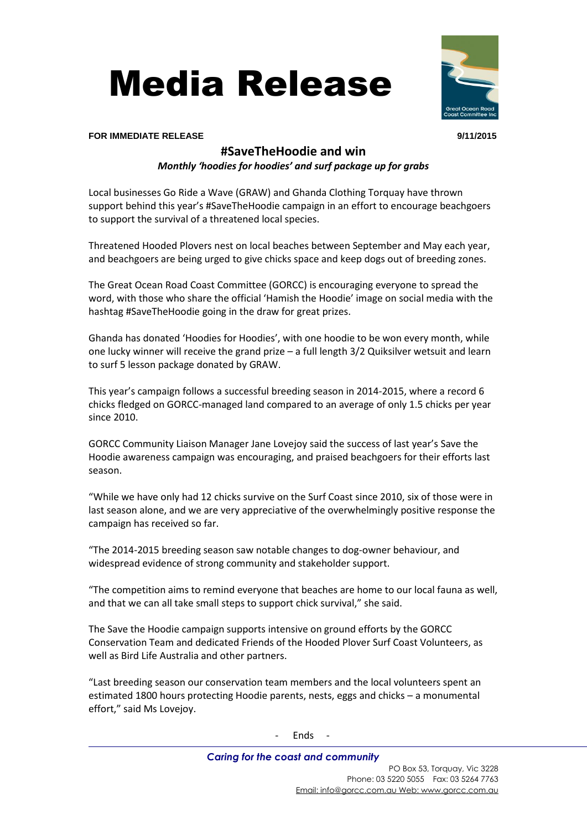



### **FOR IMMEDIATE RELEASE 9/11/2015**

# **#SaveTheHoodie and win**

*Monthly 'hoodies for hoodies' and surf package up for grabs*

Local businesses Go Ride a Wave (GRAW) and Ghanda Clothing Torquay have thrown support behind this year's #SaveTheHoodie campaign in an effort to encourage beachgoers to support the survival of a threatened local species.

Threatened Hooded Plovers nest on local beaches between September and May each year, and beachgoers are being urged to give chicks space and keep dogs out of breeding zones.

The Great Ocean Road Coast Committee (GORCC) is encouraging everyone to spread the word, with those who share the official 'Hamish the Hoodie' image on social media with the hashtag #SaveTheHoodie going in the draw for great prizes.

Ghanda has donated 'Hoodies for Hoodies', with one hoodie to be won every month, while one lucky winner will receive the grand prize – a full length 3/2 Quiksilver wetsuit and learn to surf 5 lesson package donated by GRAW.

This year's campaign follows a successful breeding season in 2014-2015, where a record 6 chicks fledged on GORCC-managed land compared to an average of only 1.5 chicks per year since 2010.

GORCC Community Liaison Manager Jane Lovejoy said the success of last year's Save the Hoodie awareness campaign was encouraging, and praised beachgoers for their efforts last season.

"While we have only had 12 chicks survive on the Surf Coast since 2010, six of those were in last season alone, and we are very appreciative of the overwhelmingly positive response the campaign has received so far.

"The 2014-2015 breeding season saw notable changes to dog-owner behaviour, and widespread evidence of strong community and stakeholder support.

"The competition aims to remind everyone that beaches are home to our local fauna as well, and that we can all take small steps to support chick survival," she said.

The Save the Hoodie campaign supports intensive on ground efforts by the GORCC Conservation Team and dedicated Friends of the Hooded Plover Surf Coast Volunteers, as well as Bird Life Australia and other partners.

"Last breeding season our conservation team members and the local volunteers spent an estimated 1800 hours protecting Hoodie parents, nests, eggs and chicks – a monumental effort," said Ms Lovejoy.

- Ends -